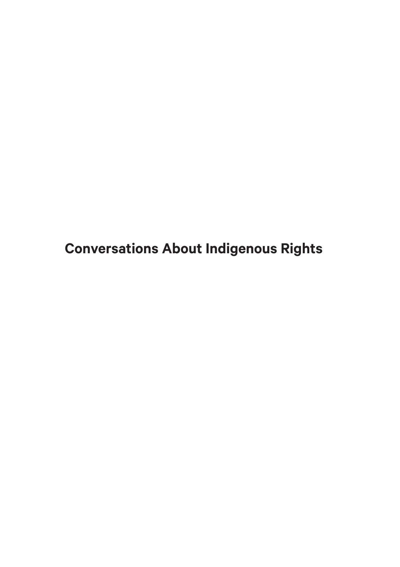**Conversations About Indigenous Rights**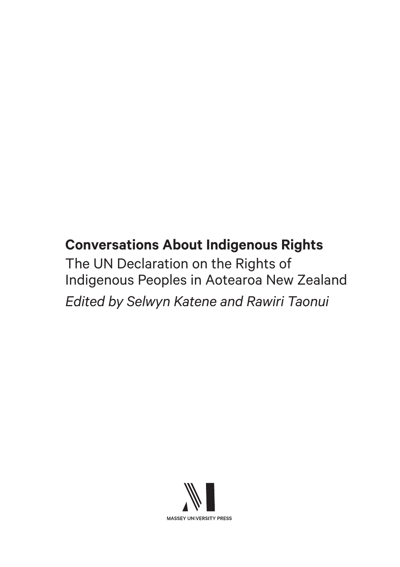# **Conversations About Indigenous Rights**

The UN Declaration on the Rights of Indigenous Peoples in Aotearoa New Zealand *Edited by Selwyn Katene and Rawiri Taonui*

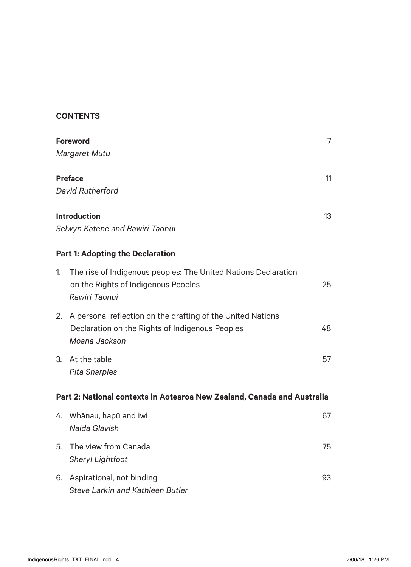### **CONTENTS**

| <b>Foreword</b>                                                         |                                                                                                                                 | 7  |  |
|-------------------------------------------------------------------------|---------------------------------------------------------------------------------------------------------------------------------|----|--|
|                                                                         | Margaret Mutu                                                                                                                   |    |  |
| <b>Preface</b>                                                          |                                                                                                                                 | 11 |  |
|                                                                         | David Rutherford                                                                                                                |    |  |
| <b>Introduction</b><br>13                                               |                                                                                                                                 |    |  |
| Selwyn Katene and Rawiri Taonui                                         |                                                                                                                                 |    |  |
| <b>Part 1: Adopting the Declaration</b>                                 |                                                                                                                                 |    |  |
| 1.                                                                      | The rise of Indigenous peoples: The United Nations Declaration<br>on the Rights of Indigenous Peoples<br>Rawiri Taonui          | 25 |  |
| 2.                                                                      | A personal reflection on the drafting of the United Nations<br>Declaration on the Rights of Indigenous Peoples<br>Moana Jackson | 48 |  |
| 3.                                                                      | At the table<br><b>Pita Sharples</b>                                                                                            | 57 |  |
| Part 2: National contexts in Aotearoa New Zealand, Canada and Australia |                                                                                                                                 |    |  |
|                                                                         | 4. Whānau, hapū and iwi<br>Naida Glavish                                                                                        | 67 |  |
| 5.                                                                      | The view from Canada<br>Sheryl Lightfoot                                                                                        | 75 |  |
| 6.                                                                      | Aspirational, not binding<br>Steve Larkin and Kathleen Butler                                                                   | 93 |  |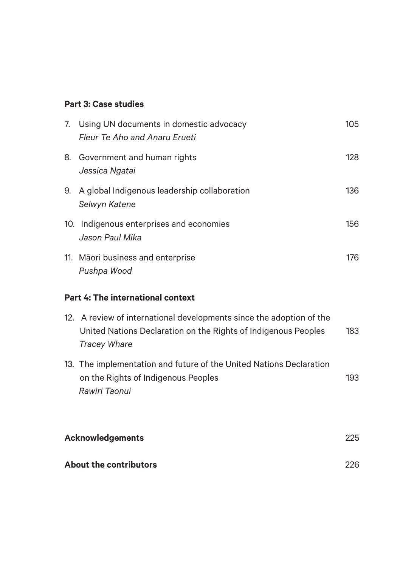## **Part 3: Case studies**

|                                   | 7. Using UN documents in domestic advocacy<br>Fleur Te Aho and Anaru Erueti                                                                                   | 105 |  |
|-----------------------------------|---------------------------------------------------------------------------------------------------------------------------------------------------------------|-----|--|
| 8.                                | Government and human rights<br>Jessica Ngatai                                                                                                                 | 128 |  |
| 9.                                | A global Indigenous leadership collaboration<br>Selwyn Katene                                                                                                 | 136 |  |
|                                   | 10. Indigenous enterprises and economies<br>Jason Paul Mika                                                                                                   | 156 |  |
|                                   | 11. Māori business and enterprise<br>Pushpa Wood                                                                                                              | 176 |  |
| Part 4: The international context |                                                                                                                                                               |     |  |
|                                   | 12. A review of international developments since the adoption of the<br>United Nations Declaration on the Rights of Indigenous Peoples<br><b>Tracey Whare</b> | 183 |  |
|                                   | 13. The implementation and future of the United Nations Declaration<br>on the Rights of Indigenous Peoples<br>Rawiri Taonui                                   | 193 |  |
|                                   | <b>Acknowledgements</b>                                                                                                                                       |     |  |
|                                   | About the contributors                                                                                                                                        |     |  |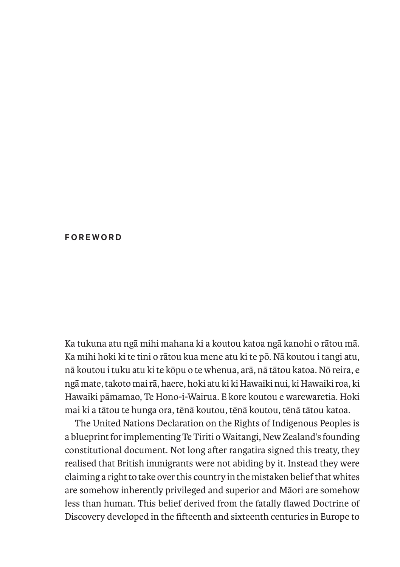#### **FOREWORD**

Ka tukuna atu ngā mihi mahana ki a koutou katoa ngā kanohi o rātou mā. Ka mihi hoki ki te tini o rātou kua mene atu ki te pō. Nā koutou i tangi atu, nā koutou i tuku atu ki te kōpu o te whenua, arā, nā tātou katoa. Nō reira, e ngā mate, takoto mai rā, haere, hoki atu ki ki Hawaiki nui, ki Hawaiki roa, ki Hawaiki pāmamao, Te Hono-i-Wairua. E kore koutou e warewaretia. Hoki mai ki a tātou te hunga ora, tēnā koutou, tēnā koutou, tēnā tātou katoa.

The United Nations Declaration on the Rights of Indigenous Peoples is a blueprint for implementing Te Tiriti o Waitangi, New Zealand's founding constitutional document. Not long after rangatira signed this treaty, they realised that British immigrants were not abiding by it. Instead they were claiming a right to take over this country in the mistaken belief that whites are somehow inherently privileged and superior and Māori are somehow less than human. This belief derived from the fatally flawed Doctrine of Discovery developed in the fifteenth and sixteenth centuries in Europe to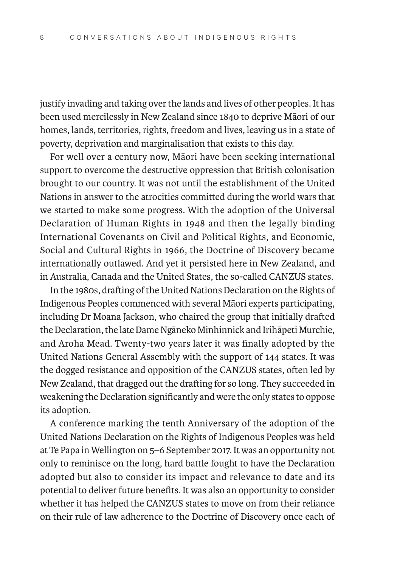justify invading and taking over the lands and lives of other peoples. It has been used mercilessly in New Zealand since 1840 to deprive Māori of our homes, lands, territories, rights, freedom and lives, leaving us in a state of poverty, deprivation and marginalisation that exists to this day.

For well over a century now, Māori have been seeking international support to overcome the destructive oppression that British colonisation brought to our country. It was not until the establishment of the United Nations in answer to the atrocities committed during the world wars that we started to make some progress. With the adoption of the Universal Declaration of Human Rights in 1948 and then the legally binding International Covenants on Civil and Political Rights, and Economic, Social and Cultural Rights in 1966, the Doctrine of Discovery became internationally outlawed. And yet it persisted here in New Zealand, and in Australia, Canada and the United States, the so-called CANZUS states.

In the 1980s, drafting of the United Nations Declaration on the Rights of Indigenous Peoples commenced with several Māori experts participating, including Dr Moana Jackson, who chaired the group that initially drafted the Declaration, the late Dame Ngāneko Minhinnick and Irihāpeti Murchie, and Aroha Mead. Twenty-two years later it was finally adopted by the United Nations General Assembly with the support of 144 states. It was the dogged resistance and opposition of the CANZUS states, often led by New Zealand, that dragged out the drafting for so long. They succeeded in weakening the Declaration significantly and were the only states to oppose its adoption.

A conference marking the tenth Anniversary of the adoption of the United Nations Declaration on the Rights of Indigenous Peoples was held at Te Papa in Wellington on 5–6 September 2017. It was an opportunity not only to reminisce on the long, hard battle fought to have the Declaration adopted but also to consider its impact and relevance to date and its potential to deliver future benefits. It was also an opportunity to consider whether it has helped the CANZUS states to move on from their reliance on their rule of law adherence to the Doctrine of Discovery once each of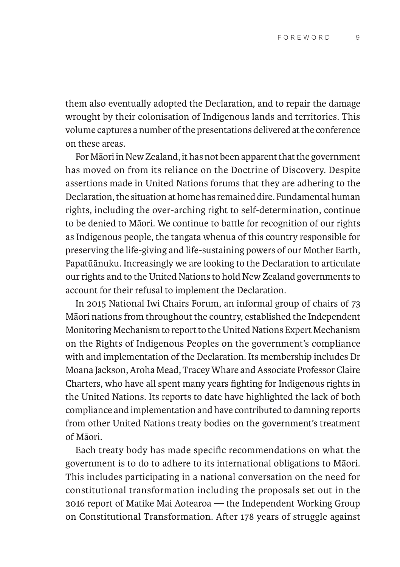them also eventually adopted the Declaration, and to repair the damage wrought by their colonisation of Indigenous lands and territories. This volume captures a number of the presentations delivered at the conference on these areas.

For Māori in New Zealand, it has not been apparent that the government has moved on from its reliance on the Doctrine of Discovery. Despite assertions made in United Nations forums that they are adhering to the Declaration, the situation at home has remained dire. Fundamental human rights, including the over-arching right to self-determination, continue to be denied to Māori. We continue to battle for recognition of our rights as Indigenous people, the tangata whenua of this country responsible for preserving the life-giving and life-sustaining powers of our Mother Earth, Papatūānuku. Increasingly we are looking to the Declaration to articulate our rights and to the United Nations to hold New Zealand governments to account for their refusal to implement the Declaration.

In 2015 National Iwi Chairs Forum, an informal group of chairs of 73 Māori nations from throughout the country, established the Independent Monitoring Mechanism to report to the United Nations Expert Mechanism on the Rights of Indigenous Peoples on the government's compliance with and implementation of the Declaration. Its membership includes Dr Moana Jackson, Aroha Mead, Tracey Whare and Associate Professor Claire Charters, who have all spent many years fighting for Indigenous rights in the United Nations. Its reports to date have highlighted the lack of both compliance and implementation and have contributed to damning reports from other United Nations treaty bodies on the government's treatment of Māori.

Each treaty body has made specific recommendations on what the government is to do to adhere to its international obligations to Māori. This includes participating in a national conversation on the need for constitutional transformation including the proposals set out in the 2016 report of Matike Mai Aotearoa — the Independent Working Group on Constitutional Transformation. After 178 years of struggle against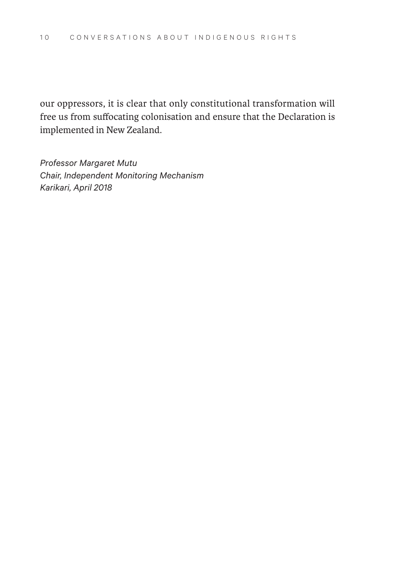our oppressors, it is clear that only constitutional transformation will free us from suffocating colonisation and ensure that the Declaration is implemented in New Zealand.

*Professor Margaret Mutu Chair, Independent Monitoring Mechanism Karikari, April 2018*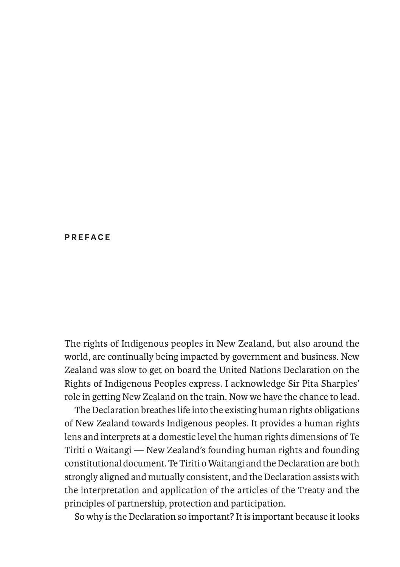#### **PREFACE**

The rights of Indigenous peoples in New Zealand, but also around the world, are continually being impacted by government and business. New Zealand was slow to get on board the United Nations Declaration on the Rights of Indigenous Peoples express. I acknowledge Sir Pita Sharples' role in getting New Zealand on the train. Now we have the chance to lead.

The Declaration breathes life into the existing human rights obligations of New Zealand towards Indigenous peoples. It provides a human rights lens and interprets at a domestic level the human rights dimensions of Te Tiriti o Waitangi — New Zealand's founding human rights and founding constitutional document. Te Tiriti o Waitangi and the Declaration are both strongly aligned and mutually consistent, and the Declaration assists with the interpretation and application of the articles of the Treaty and the principles of partnership, protection and participation.

So why is the Declaration so important? It is important because it looks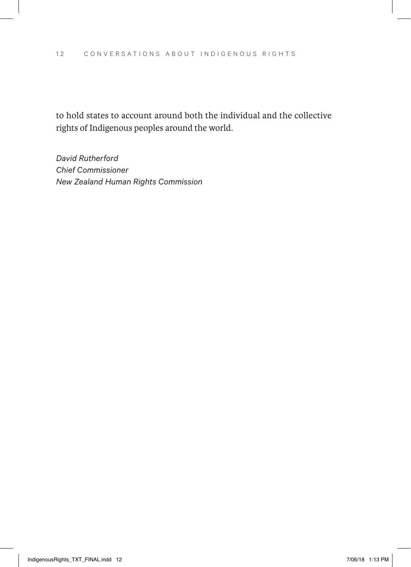to hold states to account around both the individual and the collective rights of Indigenous peoples around the world.

*David Rutherford Chief Commissioner New Zealand Human Rights Commission*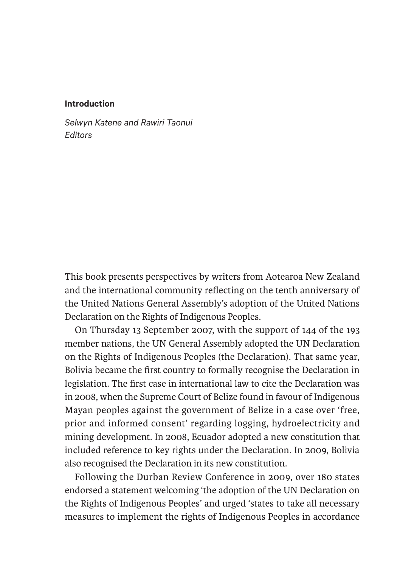#### **Introduction**

*Selwyn Katene and Rawiri Taonui Editors*

This book presents perspectives by writers from Aotearoa New Zealand and the international community reflecting on the tenth anniversary of the United Nations General Assembly's adoption of the United Nations Declaration on the Rights of Indigenous Peoples.

On Thursday 13 September 2007, with the support of 144 of the 193 member nations, the UN General Assembly adopted the UN Declaration on the Rights of Indigenous Peoples (the Declaration). That same year, Bolivia became the first country to formally recognise the Declaration in legislation. The first case in international law to cite the Declaration was in 2008, when the Supreme Court of Belize found in favour of Indigenous Mayan peoples against the government of Belize in a case over 'free, prior and informed consent' regarding logging, hydroelectricity and mining development. In 2008, Ecuador adopted a new constitution that included reference to key rights under the Declaration. In 2009, Bolivia also recognised the Declaration in its new constitution.

Following the Durban Review Conference in 2009, over 180 states endorsed a statement welcoming 'the adoption of the UN Declaration on the Rights of Indigenous Peoples' and urged 'states to take all necessary measures to implement the rights of Indigenous Peoples in accordance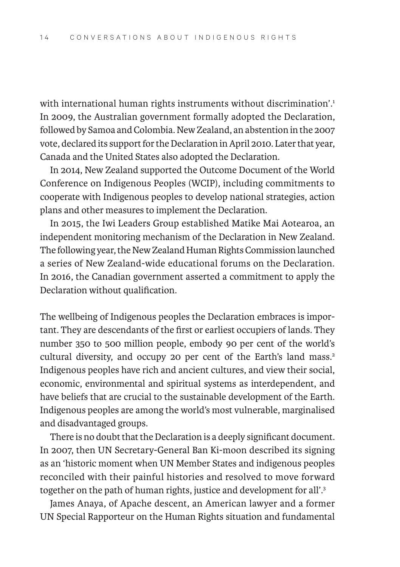with international human rights instruments without discrimination'.<sup>1</sup> In 2009, the Australian government formally adopted the Declaration, followed by Samoa and Colombia. New Zealand, an abstention in the 2007 vote, declared its support for the Declaration in April 2010. Later that year, Canada and the United States also adopted the Declaration.

In 2014, New Zealand supported the Outcome Document of the World Conference on Indigenous Peoples (WCIP), including commitments to cooperate with Indigenous peoples to develop national strategies, action plans and other measures to implement the Declaration.

In 2015, the Iwi Leaders Group established Matike Mai Aotearoa, an independent monitoring mechanism of the Declaration in New Zealand. The following year, the New Zealand Human Rights Commission launched a series of New Zealand-wide educational forums on the Declaration. In 2016, the Canadian government asserted a commitment to apply the Declaration without qualification.

The wellbeing of Indigenous peoples the Declaration embraces is important. They are descendants of the first or earliest occupiers of lands. They number 350 to 500 million people, embody 90 per cent of the world's cultural diversity, and occupy 20 per cent of the Earth's land mass.<sup>2</sup> Indigenous peoples have rich and ancient cultures, and view their social, economic, environmental and spiritual systems as interdependent, and have beliefs that are crucial to the sustainable development of the Earth. Indigenous peoples are among the world's most vulnerable, marginalised and disadvantaged groups.

There is no doubt that the Declaration is a deeply significant document. In 2007, then UN Secretary-General Ban Ki-moon described its signing as an 'historic moment when UN Member States and indigenous peoples reconciled with their painful histories and resolved to move forward together on the path of human rights, justice and development for all'.3

James Anaya, of Apache descent, an American lawyer and a former UN Special Rapporteur on the Human Rights situation and fundamental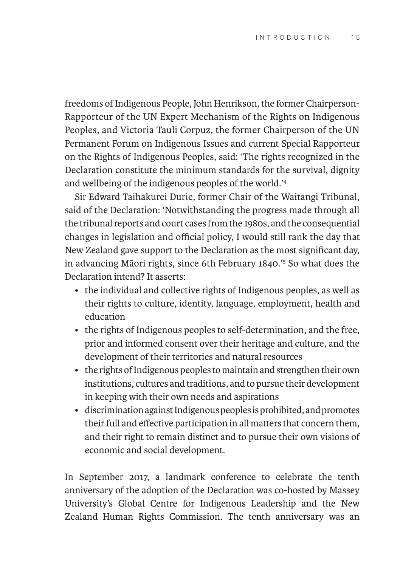freedoms of Indigenous People, John Henrikson, the former Chairperson-Rapporteur of the UN Expert Mechanism of the Rights on Indigenous Peoples, and Victoria Tauli Corpuz, the former Chairperson of the UN Permanent Forum on Indigenous Issues and current Special Rapporteur on the Rights of Indigenous Peoples, said: 'The rights recognized in the Declaration constitute the minimum standards for the survival, dignity and wellbeing of the indigenous peoples of the world.'4

Sir Edward Taihakurei Durie, former Chair of the Waitangi Tribunal, said of the Declaration: 'Notwithstanding the progress made through all the tribunal reports and court cases from the 1980s, and the consequential changes in legislation and official policy, I would still rank the day that New Zealand gave support to the Declaration as the most significant day, in advancing Māori rights, since 6th February 1840.'5 So what does the Declaration intend? It asserts:

- the individual and collective rights of Indigenous peoples, as well as their rights to culture, identity, language, employment, health and education
- the rights of Indigenous peoples to self-determination, and the free, prior and informed consent over their heritage and culture, and the development of their territories and natural resources
- the rights of Indigenous peoples to maintain and strengthen their own institutions, cultures and traditions, and to pursue their development in keeping with their own needs and aspirations
- discrimination against Indigenous peoples is prohibited, and promotes their full and effective participation in all matters that concern them, and their right to remain distinct and to pursue their own visions of economic and social development.

In September 2017, a landmark conference to celebrate the tenth anniversary of the adoption of the Declaration was co-hosted by Massey University's Global Centre for Indigenous Leadership and the New Zealand Human Rights Commission. The tenth anniversary was an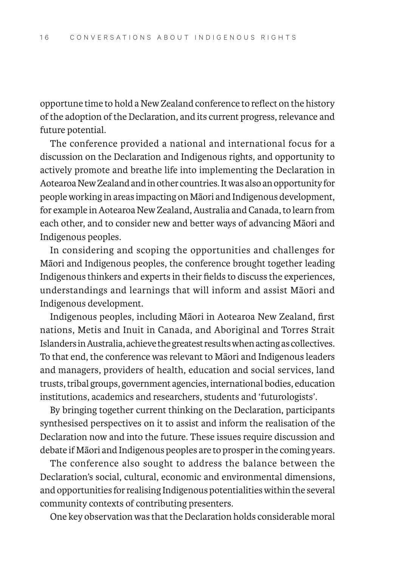opportune time to hold a New Zealand conference to reflect on the history of the adoption of the Declaration, and its current progress, relevance and future potential.

The conference provided a national and international focus for a discussion on the Declaration and Indigenous rights, and opportunity to actively promote and breathe life into implementing the Declaration in Aotearoa New Zealand and in other countries. It was also an opportunity for people working in areas impacting on Māori and Indigenous development, for example in Aotearoa New Zealand, Australia and Canada, to learn from each other, and to consider new and better ways of advancing Māori and Indigenous peoples.

In considering and scoping the opportunities and challenges for Māori and Indigenous peoples, the conference brought together leading Indigenous thinkers and experts in their fields to discuss the experiences, understandings and learnings that will inform and assist Māori and Indigenous development.

Indigenous peoples, including Māori in Aotearoa New Zealand, first nations, Metis and Inuit in Canada, and Aboriginal and Torres Strait Islanders in Australia, achieve the greatest results when acting as collectives. To that end, the conference was relevant to Māori and Indigenous leaders and managers, providers of health, education and social services, land trusts, tribal groups, government agencies, international bodies, education institutions, academics and researchers, students and 'futurologists'.

By bringing together current thinking on the Declaration, participants synthesised perspectives on it to assist and inform the realisation of the Declaration now and into the future. These issues require discussion and debate if Māori and Indigenous peoples are to prosper in the coming years.

The conference also sought to address the balance between the Declaration's social, cultural, economic and environmental dimensions, and opportunities for realising Indigenous potentialities within the several community contexts of contributing presenters.

One key observation was that the Declaration holds considerable moral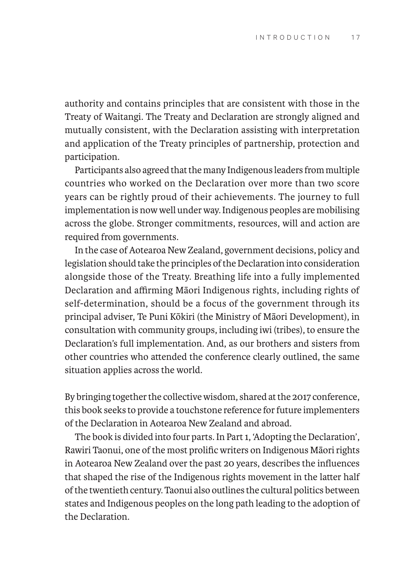authority and contains principles that are consistent with those in the Treaty of Waitangi. The Treaty and Declaration are strongly aligned and mutually consistent, with the Declaration assisting with interpretation and application of the Treaty principles of partnership, protection and participation.

Participants also agreed that the many Indigenous leaders from multiple countries who worked on the Declaration over more than two score years can be rightly proud of their achievements. The journey to full implementation is now well under way. Indigenous peoples are mobilising across the globe. Stronger commitments, resources, will and action are required from governments.

In the case of Aotearoa New Zealand, government decisions, policy and legislation should take the principles of the Declaration into consideration alongside those of the Treaty. Breathing life into a fully implemented Declaration and affirming Māori Indigenous rights, including rights of self-determination, should be a focus of the government through its principal adviser, Te Puni Kōkiri (the Ministry of Māori Development), in consultation with community groups, including iwi (tribes), to ensure the Declaration's full implementation. And, as our brothers and sisters from other countries who attended the conference clearly outlined, the same situation applies across the world.

By bringing together the collective wisdom, shared at the 2017 conference, this book seeks to provide a touchstone reference for future implementers of the Declaration in Aotearoa New Zealand and abroad.

The book is divided into four parts. In Part 1, 'Adopting the Declaration', Rawiri Taonui, one of the most prolific writers on Indigenous Māori rights in Aotearoa New Zealand over the past 20 years, describes the influences that shaped the rise of the Indigenous rights movement in the latter half of the twentieth century. Taonui also outlines the cultural politics between states and Indigenous peoples on the long path leading to the adoption of the Declaration.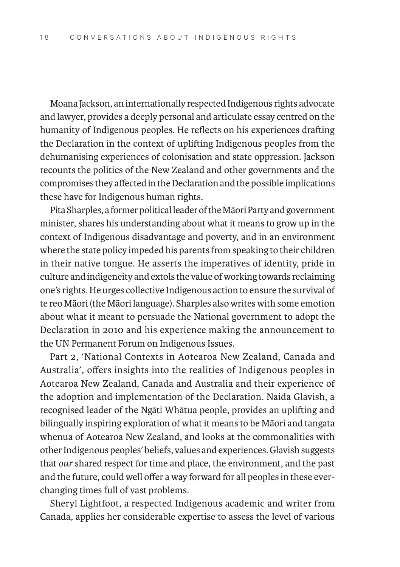Moana Jackson, an internationally respected Indigenous rights advocate and lawyer, provides a deeply personal and articulate essay centred on the humanity of Indigenous peoples. He reflects on his experiences drafting the Declaration in the context of uplifting Indigenous peoples from the dehumanising experiences of colonisation and state oppression. Jackson recounts the politics of the New Zealand and other governments and the compromises they affected in the Declaration and the possible implications these have for Indigenous human rights.

Pita Sharples, a former political leader of the Māori Party and government minister, shares his understanding about what it means to grow up in the context of Indigenous disadvantage and poverty, and in an environment where the state policy impeded his parents from speaking to their children in their native tongue. He asserts the imperatives of identity, pride in culture and indigeneity and extols the value of working towards reclaiming one's rights. He urges collective Indigenous action to ensure the survival of te reo Māori (the Māori language). Sharples also writes with some emotion about what it meant to persuade the National government to adopt the Declaration in 2010 and his experience making the announcement to the UN Permanent Forum on Indigenous Issues.

Part 2, 'National Contexts in Aotearoa New Zealand, Canada and Australia', offers insights into the realities of Indigenous peoples in Aotearoa New Zealand, Canada and Australia and their experience of the adoption and implementation of the Declaration. Naida Glavish, a recognised leader of the Ngāti Whātua people, provides an uplifting and bilingually inspiring exploration of what it means to be Māori and tangata whenua of Aotearoa New Zealand, and looks at the commonalities with other Indigenous peoples' beliefs, values and experiences. Glavish suggests that *our* shared respect for time and place, the environment, and the past and the future, could well offer a way forward for all peoples in these everchanging times full of vast problems.

Sheryl Lightfoot, a respected Indigenous academic and writer from Canada, applies her considerable expertise to assess the level of various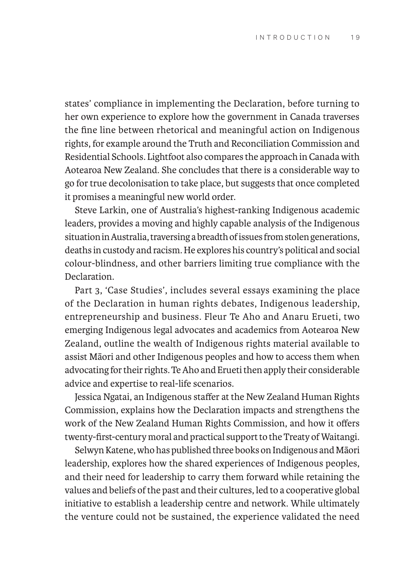states' compliance in implementing the Declaration, before turning to her own experience to explore how the government in Canada traverses the fine line between rhetorical and meaningful action on Indigenous rights, for example around the Truth and Reconciliation Commission and Residential Schools. Lightfoot also compares the approach in Canada with Aotearoa New Zealand. She concludes that there is a considerable way to go for true decolonisation to take place, but suggests that once completed it promises a meaningful new world order.

Steve Larkin, one of Australia's highest-ranking Indigenous academic leaders, provides a moving and highly capable analysis of the Indigenous situation in Australia, traversing a breadth of issues from stolen generations, deaths in custody and racism. He explores his country's political and social colour-blindness, and other barriers limiting true compliance with the **Declaration** 

Part 3, 'Case Studies', includes several essays examining the place of the Declaration in human rights debates, Indigenous leadership, entrepreneurship and business. Fleur Te Aho and Anaru Erueti, two emerging Indigenous legal advocates and academics from Aotearoa New Zealand, outline the wealth of Indigenous rights material available to assist Māori and other Indigenous peoples and how to access them when advocating for their rights. Te Aho and Erueti then apply their considerable advice and expertise to real-life scenarios.

Jessica Ngatai, an Indigenous staffer at the New Zealand Human Rights Commission, explains how the Declaration impacts and strengthens the work of the New Zealand Human Rights Commission, and how it offers twenty-first-century moral and practical support to the Treaty of Waitangi.

Selwyn Katene, who has published three books on Indigenous and Māori leadership, explores how the shared experiences of Indigenous peoples, and their need for leadership to carry them forward while retaining the values and beliefs of the past and their cultures, led to a cooperative global initiative to establish a leadership centre and network. While ultimately the venture could not be sustained, the experience validated the need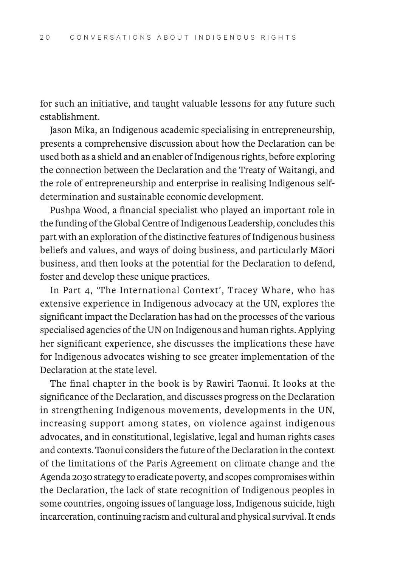for such an initiative, and taught valuable lessons for any future such establishment.

Jason Mika, an Indigenous academic specialising in entrepreneurship, presents a comprehensive discussion about how the Declaration can be used both as a shield and an enabler of Indigenous rights, before exploring the connection between the Declaration and the Treaty of Waitangi, and the role of entrepreneurship and enterprise in realising Indigenous selfdetermination and sustainable economic development.

Pushpa Wood, a financial specialist who played an important role in the funding of the Global Centre of Indigenous Leadership, concludes this part with an exploration of the distinctive features of Indigenous business beliefs and values, and ways of doing business, and particularly Māori business, and then looks at the potential for the Declaration to defend, foster and develop these unique practices.

In Part 4, 'The International Context', Tracey Whare, who has extensive experience in Indigenous advocacy at the UN, explores the significant impact the Declaration has had on the processes of the various specialised agencies of the UN on Indigenous and human rights. Applying her significant experience, she discusses the implications these have for Indigenous advocates wishing to see greater implementation of the Declaration at the state level.

The final chapter in the book is by Rawiri Taonui. It looks at the significance of the Declaration, and discusses progress on the Declaration in strengthening Indigenous movements, developments in the UN, increasing support among states, on violence against indigenous advocates, and in constitutional, legislative, legal and human rights cases and contexts. Taonui considers the future of the Declaration in the context of the limitations of the Paris Agreement on climate change and the Agenda 2030 strategy to eradicate poverty, and scopes compromises within the Declaration, the lack of state recognition of Indigenous peoples in some countries, ongoing issues of language loss, Indigenous suicide, high incarceration, continuing racism and cultural and physical survival. It ends